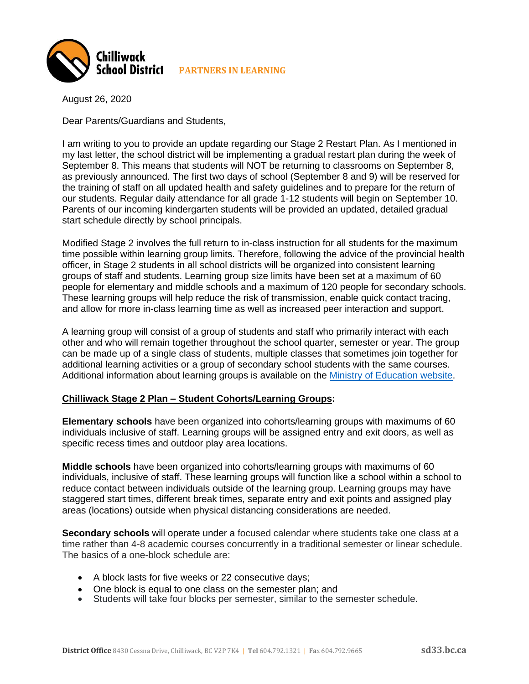

August 26, 2020

Dear Parents/Guardians and Students,

I am writing to you to provide an update regarding our Stage 2 Restart Plan. As I mentioned in my last letter, the school district will be implementing a gradual restart plan during the week of September 8. This means that students will NOT be returning to classrooms on September 8, as previously announced. The first two days of school (September 8 and 9) will be reserved for the training of staff on all updated health and safety guidelines and to prepare for the return of our students. Regular daily attendance for all grade 1-12 students will begin on September 10. Parents of our incoming kindergarten students will be provided an updated, detailed gradual start schedule directly by school principals.

Modified Stage 2 involves the full return to in-class instruction for all students for the maximum time possible within learning group limits. Therefore, following the advice of the provincial health officer, in Stage 2 students in all school districts will be organized into consistent learning groups of staff and students. Learning group size limits have been set at a maximum of 60 people for elementary and middle schools and a maximum of 120 people for secondary schools. These learning groups will help reduce the risk of transmission, enable quick contact tracing, and allow for more in-class learning time as well as increased peer interaction and support.

A learning group will consist of a group of students and staff who primarily interact with each other and who will remain together throughout the school quarter, semester or year. The group can be made up of a single class of students, multiple classes that sometimes join together for additional learning activities or a group of secondary school students with the same courses. Additional information about learning groups is available on the [Ministry of Education website.](https://www2.gov.bc.ca/gov/content/education-training/k-12/covid-19-return-to-school#learning-group)

## **Chilliwack Stage 2 Plan – Student Cohorts/Learning Groups:**

**Elementary schools** have been organized into cohorts/learning groups with maximums of 60 individuals inclusive of staff. Learning groups will be assigned entry and exit doors, as well as specific recess times and outdoor play area locations.

**Middle schools** have been organized into cohorts/learning groups with maximums of 60 individuals, inclusive of staff. These learning groups will function like a school within a school to reduce contact between individuals outside of the learning group. Learning groups may have staggered start times, different break times, separate entry and exit points and assigned play areas (locations) outside when physical distancing considerations are needed.

**Secondary schools** will operate under a focused calendar where students take one class at a time rather than 4-8 academic courses concurrently in a traditional semester or linear schedule. The basics of a one-block schedule are:

- A block lasts for five weeks or 22 consecutive days;
- One block is equal to one class on the semester plan; and
- Students will take four blocks per semester, similar to the semester schedule.